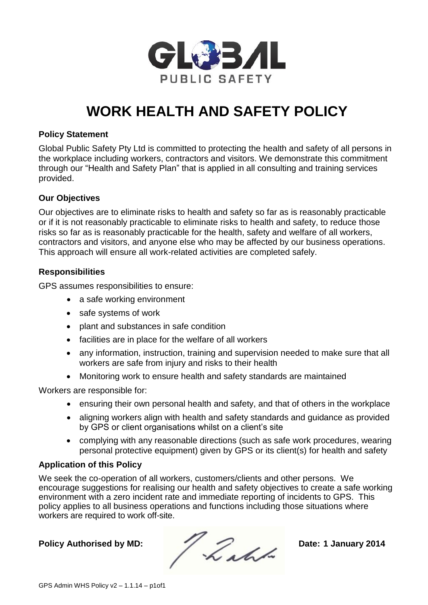

# **WORK HEALTH AND SAFETY POLICY**

### **Policy Statement**

Global Public Safety Pty Ltd is committed to protecting the health and safety of all persons in the workplace including workers, contractors and visitors. We demonstrate this commitment through our "Health and Safety Plan" that is applied in all consulting and training services provided.

### **Our Objectives**

Our objectives are to eliminate risks to health and safety so far as is reasonably practicable or if it is not reasonably practicable to eliminate risks to health and safety, to reduce those risks so far as is reasonably practicable for the health, safety and welfare of all workers, contractors and visitors, and anyone else who may be affected by our business operations. This approach will ensure all work-related activities are completed safely.

#### **Responsibilities**

GPS assumes responsibilities to ensure:

- a safe working environment
- safe systems of work
- plant and substances in safe condition
- facilities are in place for the welfare of all workers
- any information, instruction, training and supervision needed to make sure that all workers are safe from injury and risks to their health
- Monitoring work to ensure health and safety standards are maintained

Workers are responsible for:

- ensuring their own personal health and safety, and that of others in the workplace
- aligning workers align with health and safety standards and guidance as provided by GPS or client organisations whilst on a client's site
- complying with any reasonable directions (such as safe work procedures, wearing personal protective equipment) given by GPS or its client(s) for health and safety

### **Application of this Policy**

We seek the co-operation of all workers, customers/clients and other persons. We encourage suggestions for realising our health and safety objectives to create a safe working environment with a zero incident rate and immediate reporting of incidents to GPS. This policy applies to all business operations and functions including those situations where workers are required to work off-site.

Policy Authorised by MD:<br> **Date: 1 January 2014**